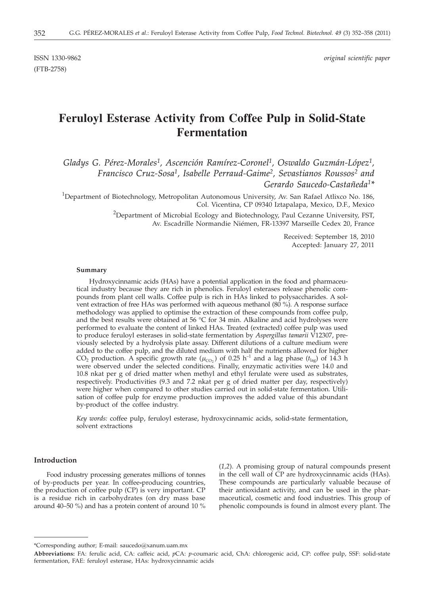ISSN 1330-9862 *original scientific paper*

(FTB-2758)

# **Feruloyl Esterase Activity from Coffee Pulp in Solid-State Fermentation**

*Gladys G. Pérez-Morales1, Ascención Ramírez-Coronel1, Oswaldo Guzmán-López1, Francisco Cruz-Sosa1, Isabelle Perraud-Gaime2, Sevastianos Roussos2 and Gerardo Saucedo-Castañeda1\**

<sup>1</sup>Department of Biotechnology, Metropolitan Autonomous University, Av. San Rafael Atlixco No. 186, Col. Vicentina, CP 09340 Iztapalapa, Mexico, D.F., Mexico

> <sup>2</sup>Department of Microbial Ecology and Biotechnology, Paul Cezanne University, FST, Av. Escadrille Normandie Niémen, FR-13397 Marseille Cedex 20, France

> > Received: September 18, 2010 Accepted: January 27, 2011

#### **Summary**

Hydroxycinnamic acids (HAs) have a potential application in the food and pharmaceutical industry because they are rich in phenolics. Feruloyl esterases release phenolic compounds from plant cell walls. Coffee pulp is rich in HAs linked to polysaccharides. A solvent extraction of free HAs was performed with aqueous methanol  $(80\%)$ . A response surface methodology was applied to optimise the extraction of these compounds from coffee pulp, and the best results were obtained at 56 °C for 34 min. Alkaline and acid hydrolyses were performed to evaluate the content of linked HAs. Treated (extracted) coffee pulp was used to produce feruloyl esterases in solid-state fermentation by *Aspergillus tamarii* V12307, previously selected by a hydrolysis plate assay. Different dilutions of a culture medium were added to the coffee pulp, and the diluted medium with half the nutrients allowed for higher CO<sub>2</sub> production. A specific growth rate ( $\mu_{CO_2}$ ) of 0.25 h<sup>-1</sup> and a lag phase ( $t_{lag}$ ) of 14.3 h were observed under the selected conditions. Finally, enzymatic activities were 14.0 and 10.8 nkat per g of dried matter when methyl and ethyl ferulate were used as substrates, respectively. Productivities (9.3 and 7.2 nkat per g of dried matter per day, respectively) were higher when compared to other studies carried out in solid-state fermentation. Utilisation of coffee pulp for enzyme production improves the added value of this abundant by-product of the coffee industry.

*Key words:* coffee pulp, feruloyl esterase, hydroxycinnamic acids, solid-state fermentation, solvent extractions

# **Introduction**

Food industry processing generates millions of tonnes of by-products per year. In coffee**-**producing countries, the production of coffee pulp (CP) is very important. CP is a residue rich in carbohydrates (on dry mass base around 40–50 %) and has a protein content of around 10 %

(*1,2*). A promising group of natural compounds present in the cell wall of CP are hydroxycinnamic acids (HAs). These compounds are particularly valuable because of their antioxidant activity, and can be used in the pharmaceutical, cosmetic and food industries. This group of phenolic compounds is found in almost every plant. The

<sup>\*</sup>Corresponding author; E-mail: saucedo@xanum.uam.mx

**Abbreviations:** FA: ferulic acid, CA: caffeic acid, *p*CA: *p*-coumaric acid, ChA: chlorogenic acid, CP: coffee pulp, SSF: solid-state fermentation, FAE: feruloyl esterase, HAs: hydroxycinnamic acids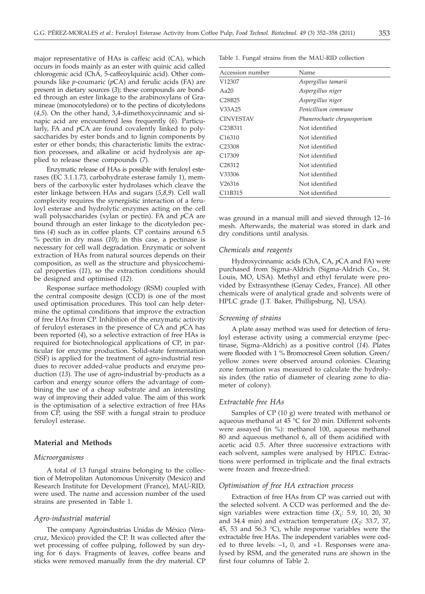major representative of HAs is caffeic acid (CA), which occurs in foods mainly as an ester with quinic acid called chlorogenic acid (ChA, 5-caffeoylquinic acid). Other compounds like *p*-coumaric (*p*CA) and ferulic acids (FA) are present in dietary sources (*3*); these compounds are bonded through an ester linkage to the arabinoxylans of Gramineae (monocotyledons) or to the pectins of dicotyledons (*4,5*). On the other hand, 3,4-dimethoxycinnamic and sinapic acid are encountered less frequently (*6*). Particularly, FA and *p*CA are found covalently linked to polysaccharides by ester bonds and to lignin components by ester or ether bonds; this characteristic limits the extraction processes, and alkaline or acid hydrolysis are applied to release these compounds (*7*).

Enzymatic release of HAs is possible with feruloyl esterases (EC 3.1.1.73, carbohydrate esterase family 1), members of the carboxylic ester hydrolases which cleave the ester linkage between HAs and sugars (*5,8,9*). Cell wall complexity requires the synergistic interaction of a feruloyl esterase and hydrolytic enzymes acting on the cell wall polysaccharides (xylan or pectin). FA and *p*CA are bound through an ester linkage to the dicotyledon pectins (*4*) such as in coffee plants. CP contains around 6.5 % pectin in dry mass (*10*); in this case, a pectinase is necessary for cell wall degradation. Enzymatic or solvent extraction of HAs from natural sources depends on their composition, as well as the structure and physicochemical properties (*11*), so the extraction conditions should be designed and optimised (*12*).

Response surface methodology (RSM) coupled with the central composite design (CCD) is one of the most used optimisation procedures. This tool can help determine the optimal conditions that improve the extraction of free HAs from CP. Inhibition of the enzymatic activity of feruloyl esterases in the presence of CA and *p*CA has been reported (*4*), so a selective extraction of free HAs is required for biotechnological applications of CP, in particular for enzyme production. Solid-state fermentation (SSF) is applied for the treatment of agro-industrial residues to recover added-value products and enzyme production (*13*). The use of agro-industrial by-products as a carbon and energy source offers the advantage of combining the use of a cheap substrate and an interesting way of improving their added value. The aim of this work is the optimisation of a selective extraction of free HAs from CP, using the SSF with a fungal strain to produce feruloyl esterase.

## **Material and Methods**

## *Microorganisms*

A total of 13 fungal strains belonging to the collection of Metropolitan Autonomous University (Mexico) and Research Institute for Development (France), MAU-RID, were used. The name and accession number of the used strains are presented in Table 1.

#### *Agro-industrial material*

The company Agroindustrias Unidas de México (Veracruz, Mexico) provided the CP. It was collected after the wet processing of coffee pulping, followed by sun drying for 6 days. Fragments of leaves, coffee beans and sticks were removed manually from the dry material. CP Table 1. Fungal strains from the MAU-RID collection

| Accession number                 | Name                        |
|----------------------------------|-----------------------------|
| V12307                           | Aspergillus tamarii         |
| Aa $20$                          | Aspergillus niger           |
| C <sub>28</sub> B <sub>25</sub>  | Aspergillus niger           |
| V33A25                           | Penicillium commune         |
| <b>CINVESTAV</b>                 | Phanerochaete chrysosporium |
| C <sub>23</sub> B <sub>311</sub> | Not identified              |
| C16310                           | Not identified              |
| C <sub>23308</sub>               | Not identified              |
| C <sub>17309</sub>               | Not identified              |
| C <sub>28312</sub>               | Not identified              |
| V33306                           | Not identified              |
| V <sub>26316</sub>               | Not identified              |
| C <sub>11</sub> B <sub>315</sub> | Not identified              |

was ground in a manual mill and sieved through 12–16 mesh. Afterwards, the material was stored in dark and dry conditions until analysis.

#### *Chemicals and reagents*

Hydroxycinnamic acids (ChA, CA, *p*CA and FA) were purchased from Sigma-Aldrich (Sigma-Aldrich Co., St. Louis, MO, USA). Methyl and ethyl ferulate were provided by Extrasynthese (Genay Cedex, France). All other chemicals were of analytical grade and solvents were of HPLC grade (J.T. Baker, Phillipsburg, NJ, USA).

#### *Screening of strains*

A plate assay method was used for detection of feruloyl esterase activity using a commercial enzyme (pectinase, Sigma-Aldrich) as a positive control (*14*). Plates were flooded with 1 % Bromocresol Green solution. Green/ yellow zones were observed around colonies. Clearing zone formation was measured to calculate the hydrolysis index (the ratio of diameter of clearing zone to diameter of colony).

## *Extractable free HAs*

Samples of CP (10 g) were treated with methanol or aqueous methanol at 45 °C for 20 min. Different solvents were assayed (in %): methanol 100, aqueous methanol 80 and aqueous methanol 6, all of them acidified with acetic acid 0.5. After three successive extractions with each solvent, samples were analysed by HPLC. Extractions were performed in triplicate and the final extracts were frozen and freeze-dried.

## *Optimisation of free HA extraction process*

Extraction of free HAs from CP was carried out with the selected solvent. A CCD was performed and the design variables were extraction time  $(X_1: 5.9, 10, 20, 30)$ and 34.4 min) and extraction temperature  $(X_2: 33.7, 37,$ 45, 53 and 56.3  $^{\circ}$ C), while response variables were the extractable free HAs. The independent variables were coded to three levels: –1, 0, and +1. Responses were analysed by RSM, and the generated runs are shown in the first four columns of Table 2.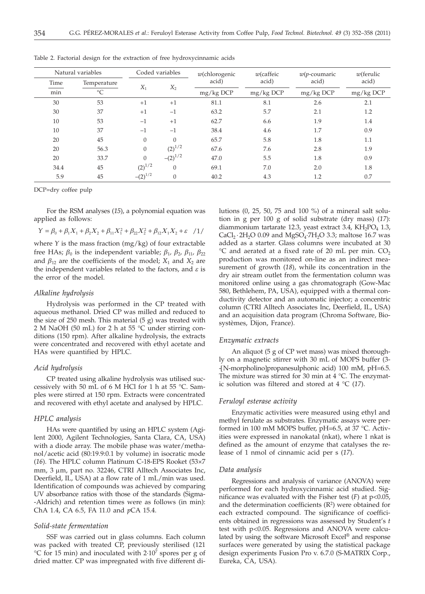| Natural variables |                 | Coded variables |              | $w$ (chlorogenic | $w$ (caffeic | $w(p$ -coumaric | $w$ (ferulic |
|-------------------|-----------------|-----------------|--------------|------------------|--------------|-----------------|--------------|
| Time              | Temperature     | $X_1$           | $X_2$        | acid)            | acid)        | acid)           | acid)        |
| min               | $\rm ^{\circ}C$ |                 |              | mg/kg DCP        | mg/kg DCP    | mg/kg DCP       | mg/kg DCP    |
| 30                | 53              | $+1$            | $+1$         | 81.1             | 8.1          | 2.6             | 2.1          |
| 30                | 37              | $+1$            | $-1$         | 63.2             | 5.7          | 2.1             | 1.2          |
| 10                | 53              | $-1$            | $+1$         | 62.7             | 6.6          | 1.9             | 1.4          |
| 10                | 37              | $-1$            | $-1$         | 38.4             | 4.6          | 1.7             | 0.9          |
| 20                | 45              | $\Omega$        | $\Omega$     | 65.7             | 5.8          | 1.8             | 1.1          |
| 20                | 56.3            | $\Omega$        | $(2)^{1/2}$  | 67.6             | 7.6          | 2.8             | 1.9          |
| 20                | 33.7            | $\Omega$        | $-(2)^{1/2}$ | 47.0             | 5.5          | 1.8             | 0.9          |
| 34.4              | 45              | $(2)^{1/2}$     | $\Omega$     | 69.1             | 7.0          | 2.0             | 1.8          |
| 5.9               | 45              | $-(2)^{1/2}$    | $\theta$     | 40.2             | 4.3          | 1.2             | 0.7          |

Table 2. Factorial design for the extraction of free hydroxycinnamic acids

DCP=dry coffee pulp

For the RSM analyses (*15*), a polynomial equation was applied as follows:

 $Y = \beta_0 + \beta_1 X_1 + \beta_2 X_2 + \beta_{11} X_1^2 + \beta_{22} X_2^2 + \beta_{12} X_1 X_2 + \varepsilon$  /1/

where *Y* is the mass fraction (mg/kg) of four extractable free HAs;  $\beta_0$  is the independent variable;  $\beta_1$ ,  $\beta_2$ ,  $\beta_{11}$ ,  $\beta_{22}$ and  $\beta_{12}$  are the coefficients of the model;  $X_1$  and  $X_2$  are the independent variables related to the factors, and *e* is the error of the model.

## *Alkaline hydrolysis*

Hydrolysis was performed in the CP treated with aqueous methanol. Dried CP was milled and reduced to the size of 250 mesh. This material  $(5 g)$  was treated with 2 M NaOH (50 mL) for 2 h at 55 °C under stirring conditions (150 rpm). After alkaline hydrolysis, the extracts were concentrated and recovered with ethyl acetate and HAs were quantified by HPLC.

## *Acid hydrolysis*

CP treated using alkaline hydrolysis was utilised successively with 50 mL of 6 M HCl for 1 h at 55 °C. Samples were stirred at 150 rpm. Extracts were concentrated and recovered with ethyl acetate and analysed by HPLC.

## *HPLC analysis*

HAs were quantified by using an HPLC system (Agilent 2000, Agilent Technologies, Santa Clara, CA, USA) with a diode array. The mobile phase was water/methanol/acetic acid (80:19.9:0.1 by volume) in isocratic mode (*16*). The HPLC column Platinum C-18-EPS Rooket (53×7 mm, 3 µm, part no. 32246, CTRI Alltech Associates Inc, Deerfield, IL, USA) at a flow rate of 1 mL/min was used. Identification of compounds was achieved by comparing UV absorbance ratios with those of the standards (Sigma- -Aldrich) and retention times were as follows (in min): ChA 1.4, CA 6.5, FA 11.0 and *p*CA 15.4.

## *Solid-state fermentation*

SSF was carried out in glass columns. Each column was packed with treated CP, previously sterilised (121 °C for 15 min) and inoculated with  $2\cdot10^7$  spores per g of dried matter. CP was impregnated with five different dilutions (0, 25, 50, 75 and 100 %) of a mineral salt solution in g per 100 g of solid substrate (dry mass) (*17*): diammonium tartarate 12.3, yeast extract 3.4,  $KH_2PO_4$  1.3, CaCl<sub>2</sub>  $\cdot$  2H<sub>2</sub>O 0.09 and MgSO<sub>4</sub> $\cdot$ 7H<sub>2</sub>O 3.3; maltose 16.7 was added as a starter. Glass columns were incubated at 30  $^{\circ}$ C and aerated at a fixed rate of 20 mL per min. CO<sub>2</sub> production was monitored on-line as an indirect measurement of growth (*18*), while its concentration in the dry air stream outlet from the fermentation column was monitored online using a gas chromatograph (Gow-Mac 580, Bethlehem, PA, USA), equipped with a thermal conductivity detector and an automatic injector; a concentric column (CTRI Alltech Associates Inc, Deerfield, IL, USA) and an acquisition data program (Chroma Software, Biosystèmes, Dijon, France).

## *Enzymatic extracts*

An aliquot (5 g of CP wet mass) was mixed thoroughly on a magnetic stirrer with 30 mL of MOPS buffer (3- -[N-morpholino]propanesulphonic acid) 100 mM, pH=6.5. The mixture was stirred for 30 min at 4 °C. The enzymatic solution was filtered and stored at 4 °C (*17*).

## *Feruloyl esterase activity*

Enzymatic activities were measured using ethyl and methyl ferulate as substrates. Enzymatic assays were performed in 100 mM MOPS buffer, pH=6.5, at 37 °C. Activities were expressed in nanokatal (nkat), where 1 nkat is defined as the amount of enzyme that catalyses the release of 1 nmol of cinnamic acid per s (*17*).

#### *Data analysis*

Regressions and analysis of variance (ANOVA) were performed for each hydroxycinnamic acid studied. Significance was evaluated with the Fisher test  $(F)$  at  $p<0.05$ , and the determination coefficients  $(R^2)$  were obtained for each extracted compound. The significance of coefficients obtained in regressions was assessed by Student's *t* test with p<0.05. Regressions and ANOVA were calculated by using the software Microsoft Excel*®* and response surfaces were generated by using the statistical package design experiments Fusion Pro v. 6.7.0 (S-MATRIX Corp., Eureka, CA, USA).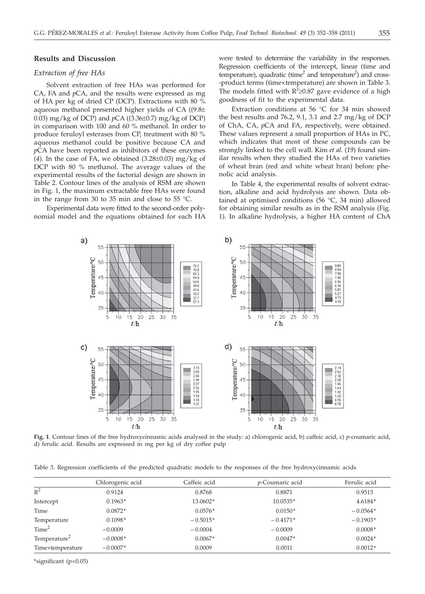## **Results and Discussion**

# *Extraction of free HAs*

Solvent extraction of free HAs was performed for CA, FA and *p*CA, and the results were expressed as mg of HA per kg of dried CP (DCP). Extractions with 80 % aqueous methanol presented higher yields of CA  $(9.8\pm$ 0.03) mg/kg of DCP) and *<sup>p</sup>*CA ((3.36±0.7) mg/kg of DCP) in comparison with 100 and 60 % methanol. In order to produce feruloyl esterases from CP, treatment with 80 % aqueous methanol could be positive because CA and *p*CA have been reported as inhibitors of these enzymes (*4*). In the case of FA, we obtained (3.28±0.03) mg/kg of DCP with 80 % methanol. The average values of the experimental results of the factorial design are shown in Table 2. Contour lines of the analysis of RSM are shown in Fig. 1, the maximum extractable free HAs were found in the range from 30 to 35 min and close to 55 °C.

Experimental data were fitted to the second-order polynomial model and the equations obtained for each HA were tested to determine the variability in the responses. Regression coefficients of the intercept, linear (time and temperature), quadratic (time<sup>2</sup> and temperature<sup>2</sup>) and cross--product terms (time×temperature) are shown in Table 3. The models fitted with  $R^2 \ge 0.87$  gave evidence of a high goodness of fit to the experimental data goodness of fit to the experimental data.

Extraction conditions at 56 °C for 34 min showed the best results and 76.2, 9.1, 3.1 and 2.7 mg/kg of DCP of ChA, CA, *p*CA and FA, respectively, were obtained. These values represent a small proportion of HAs in PC, which indicates that most of these compounds can be strongly linked to the cell wall. Kim *et al.* (*19*) found similar results when they studied the HAs of two varieties of wheat bran (red and white wheat bran) before phenolic acid analysis.

In Table 4, the experimental results of solvent extraction, alkaline and acid hydrolysis are shown. Data obtained at optimised conditions (56  $^{\circ}$ C, 34 min) allowed for obtaining similar results as in the RSM analysis (Fig. 1). In alkaline hydrolysis, a higher HA content of ChA



**Fig. 1**. Contour lines of the free hydroxycinnamic acids analysed in the study: a) chlorogenic acid, b) caffeic acid, c) *p*-coumaric acid, d) ferulic acid. Results are expressed in mg per kg of dry coffee pulp

Table 3. Regression coefficients of the predicted quadratic models to the responses of the free hydroxycinnamic acids

|                          | Chlorogenic acid | Caffeic acid | <i>p</i> -Coumaric acid | Ferulic acid |
|--------------------------|------------------|--------------|-------------------------|--------------|
| $R^2$                    | 0.9124           | 0.8768       | 0.8871                  | 0.9513       |
| Intercept                | $0.1963*$        | 13.0602*     | 10.0535*                | 4.6184*      |
| Time                     | $0.0872*$        | $0.0576*$    | $0.0150*$               | $-0.0564*$   |
| Temperature              | $0.1098*$        | $-0.5015*$   | $-0.4171*$              | $-0.1903*$   |
| Time <sup>2</sup>        | $-0.0009$        | $-0.0004$    | $-0.0009$               | $0.0008*$    |
| Temperature <sup>2</sup> | $-0.0008*$       | $0.0067*$    | $0.0047*$               | $0.0024*$    |
| Time×temperature         | $-0.0007*$       | 0.0009       | 0.0011                  | $0.0012*$    |

\*significant (p<0.05)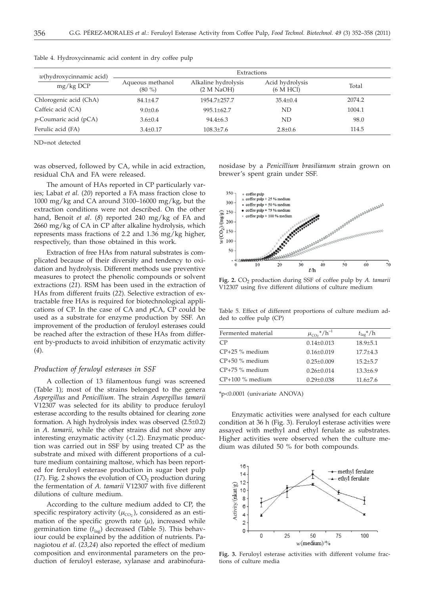| $w$ (hydroxycinnamic acid)<br>$mg/kg$ DCP | Extractions                   |                                   |                                         |        |  |
|-------------------------------------------|-------------------------------|-----------------------------------|-----------------------------------------|--------|--|
|                                           | Aqueous methanol<br>$(80\% )$ | Alkaline hydrolysis<br>(2 M NaOH) | Acid hydrolysis<br>$(6 \text{ M } HCl)$ | Total  |  |
| Chlorogenic acid (ChA)                    | $84.1 \pm 4.7$                | 1954.7+257.7                      | $35.4 \pm 0.4$                          | 2074.2 |  |
| Caffeic acid (CA)                         | $9.0 \pm 0.6$                 | $995.1 \pm 62.7$                  | ND                                      | 1004.1 |  |
| <i>p</i> -Coumaric acid (pCA)             | $3.6 \pm 0.4$                 | $94.4 \pm 6.3$                    | ND                                      | 98.0   |  |
| Ferulic acid (FA)                         | $3.4 \pm 0.17$                | $108.3 \pm 7.6$                   | $2.8 \pm 0.6$                           | 114.5  |  |
|                                           |                               |                                   |                                         |        |  |

Table 4. Hydroxycinnamic acid content in dry coffee pulp

ND=not detected

was observed, followed by CA, while in acid extraction, residual ChA and FA were released.

The amount of HAs reported in CP particularly varies; Labat *et al.* (*20*) reported a FA mass fraction close to 1000 mg/kg and CA around 3100–16000 mg/kg, but the extraction conditions were not described. On the other hand, Benoit *et al*. (*8*) reported 240 mg/kg of FA and 2660 mg/kg of CA in CP after alkaline hydrolysis, which represents mass fractions of 2.2 and 1.36 mg/kg higher, respectively, than those obtained in this work.

Extraction of free HAs from natural substrates is complicated because of their diversity and tendency to oxidation and hydrolysis. Different methods use preventive measures to protect the phenolic compounds or solvent extractions (*21*). RSM has been used in the extraction of HAs from different fruits (*22*). Selective extraction of extractable free HAs is required for biotechnological applications of CP. In the case of CA and *p*CA, CP could be used as a substrate for enzyme production by SSF. An improvement of the production of feruloyl esterases could be reached after the extraction of these HAs from different by-products to avoid inhibition of enzymatic activity (*4*).

# *Production of feruloyl esterases in SSF*

A collection of 13 filamentous fungi was screened (Table 1); most of the strains belonged to the genera *Aspergillus* and *Penicillium*. The strain *Aspergillus tamarii* V12307 was selected for its ability to produce feruloyl esterase according to the results obtained for clearing zone formation. A high hydrolysis index was observed (2.5±0.2) in *A. tamarii,* while the other strains did not show any interesting enzymatic activity (<1.2). Enzymatic production was carried out in SSF by using treated CP as the substrate and mixed with different proportions of a culture medium containing maltose, which has been reported for feruloyl esterase production in sugar beet pulp ( $17$ ). Fig. 2 shows the evolution of  $CO<sub>2</sub>$  production during the fermentation of *A. tamarii* V12307 with five different dilutions of culture medium.

According to the culture medium added to CP, the specific respiratory activity  $(\mu_{\text{CO}_2})$ , considered as an estimation of the specific growth rate  $(\mu)$ , increased while germination time ( $t_{\text{lac}}$ ) decreased (Table 5). This behaviour could be explained by the addition of nutrients. Panagiotou *et al*. (*23,24*) also reported the effect of medium composition and environmental parameters on the production of feruloyl esterase, xylanase and arabinofuranosidase by a *Penicillium brasilianum* strain grown on brewer's spent grain under SSF.



Fig. 2. CO<sub>2</sub> production during SSF of coffee pulp by *A. tamarii* V12307 using five different dilutions of culture medium

Table 5. Effect of different proportions of culture medium added to coffee pulp (CP)

| Fermented material | $\mu_{CO_2}$ <sup>*</sup> /h <sup>-1</sup> | $t_{\rm{lag}}$ */h |
|--------------------|--------------------------------------------|--------------------|
| CP                 | $0.14 \pm 0.013$                           | $18.9 + 5.1$       |
| $CP+25$ % medium   | $0.16 + 0.019$                             | $17.7 + 4.3$       |
| $CP+50\%$ medium   | $0.25 + 0.009$                             | $15.2 + 5.7$       |
| $CP+75$ % medium   | $0.26 + 0.014$                             | $13.3 + 6.9$       |
| $CP+100\%$ medium  | $0.29 \pm 0.038$                           | $11.6 + 7.6$       |
|                    |                                            |                    |

\*p<0.0001 (univariate ANOVA)

Enzymatic activities were analysed for each culture condition at 36 h (Fig. 3). Feruloyl esterase activities were assayed with methyl and ethyl ferulate as substrates. Higher activities were observed when the culture medium was diluted 50 % for both compounds.



**Fig. 3.** Feruloyl esterase activities with different volume fractions of culture media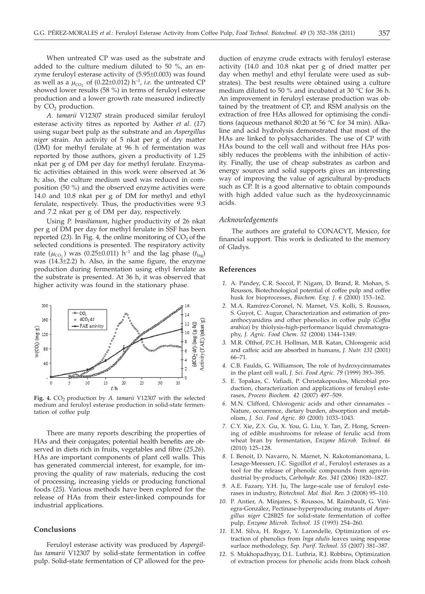When untreated CP was used as the substrate and added to the culture medium diluted to 50 %, an enzyme feruloyl esterase activity of (5.95±0.003) was found as well as a  $\mu_{\text{CO}_2}$  of (0.22±0.012) h<sup>-1</sup>, *i.e.* the untreated CP showed lower results (58 %) in terms of feruloyl esterase production and a lower growth rate measured indirectly by CO<sub>2</sub> production.

*A*. *tamarii* V12307 strain produced similar feruloyl esterase activity titres as reported by Asther *et al*. (*17*) using sugar beet pulp as the substrate and an *Aspergillus niger* strain. An activity of 5 nkat per g of dry matter (DM) for methyl ferulate at 96 h of fermentation was reported by those authors, given a productivity of 1.25 nkat per g of DM per day for methyl ferulate. Enzymatic activities obtained in this work were observed at 36 h; also, the culture medium used was reduced in composition (50 %) and the observed enzyme activities were 14.0 and 10.8 nkat per g of DM for methyl and ethyl ferulate, respectively. Thus, the productivities were 9.3 and 7.2 nkat per g of DM per day, respectively.

Using *P. brasilianum*, higher productivity of 26 nkat per g of DM per day for methyl ferulate in SSF has been reported  $(23)$ . In Fig. 4, the online monitoring of  $CO<sub>2</sub>$  of the selected conditions is presented. The respiratory activity rate ( $\mu_{CO_2}$ ) was (0.25±0.011) h<sup>-1</sup> and the lag phase ( $t_{\text{lab}}$ ) was (14.3±2.2) h. Also, in the same figure, the enzyme production during fermentation using ethyl ferulate as the substrate is presented. At 36 h, it was observed that higher activity was found in the stationary phase.



Fig. 4. CO<sub>2</sub> production by *A. tamarii* V12307 with the selected medium and feruloyl esterase production in solid-state fermentation of coffee pulp

There are many reports describing the properties of HAs and their conjugates; potential health benefits are observed in diets rich in fruits, vegetables and fibre (*25,26*). HAs are important components of plant cell walls. This has generated commercial interest, for example, for improving the quality of raw materials, reducing the cost of processing, increasing yields or producing functional foods (*25*). Various methods have been explored for the release of HAs from their ester-linked compounds for industrial applications.

# **Conclusions**

Feruloyl esterase activity was produced by *Aspergillus tamarii* V12307 by solid-state fermentation in coffee pulp. Solid-state fermentation of CP allowed for the pro-

duction of enzyme crude extracts with feruloyl esterase activity (14.0 and 10.8 nkat per g of dried matter per day when methyl and ethyl ferulate were used as substrates). The best results were obtained using a culture medium diluted to 50 % and incubated at 30 °C for 36 h. An improvement in feruloyl esterase production was obtained by the treatment of CP, and RSM analysis on the extraction of free HAs allowed for optimising the conditions (aqueous methanol 80:20 at 56 °C for 34 min). Alkaline and acid hydrolysis demonstrated that most of the HAs are linked to polysaccharides. The use of CP with HAs bound to the cell wall and without free HAs possibly reduces the problems with the inhibition of activity. Finally, the use of cheap substrates as carbon and energy sources and solid supports gives an interesting way of improving the value of agricultural by-products such as CP. It is a good alternative to obtain compounds with high added value such as the hydroxycinnamic acids.

#### *Acknowledgements*

The authors are grateful to CONACYT, Mexico, for financial support. This work is dedicated to the memory of Gladys.

# **References**

- *1.* A. Pandey, C.R. Soccol, P. Nigam, D. Brand, R. Mohan, S. Roussos, Biotechnological potential of coffee pulp and coffee husk for bioprocesses, *Biochem. Eng. J. 6* (2000) 153–162.
- *2.* M.A. Ramírez-Coronel, N. Marnet, V.S. Kolli, S. Roussos, S. Guyot, C. Augur, Characterization and estimation of proanthocyanidins and other phenolics in coffee pulp (*Coffea arabica*) by thiolysis-high-performance liquid chromatography, *J. Agric. Food Chem. 52* (2004) 1344–1349.
- *3.* M.R. Olthof, P.C.H. Hollman, M.B. Katan, Chlorogenic acid and caffeic acid are absorbed in humans, *J. Nutr. 131* (2001) 66–71.
- *4.* C.B. Faulds, G. Williamson, The role of hydroxycinnamates in the plant cell wall, *J. Sci. Food Agric. 79* (1999) 393–395.
- *5.* E. Topakas, C. Vafiadi, P. Christakopoulos, Microbial production, characterization and applications of feruloyl esterases, *Process Biochem. 42* (2007) 497–509.
- *6.* M.N. Clifford, Chlorogenic acids and other cinnamates Nature, occurrence, dietary burden, absorption and metabolism, *J. Sci. Food Agric. 80* (2000) 1033–1043.
- *7.* C.Y. Xie, Z.X. Gu, X. You, G. Liu, Y. Tan, Z. Hong, Screening of edible mushrooms for release of ferulic acid from wheat bran by fermentation, *Enzyme Microb. Technol. 46* (2010) 125–128.
- *8.* I. Benoit, D. Navarro, N. Marnet, N. Rakotomanomana, L. Lesage-Meessen, J.C. Sigoillot *et al.*, Feruloyl esterases as a tool for the release of phenolic compounds from agro-industrial by-products, *Carbohydr. Res. 341* (2006) 1820–1827.
- *9.* A.E. Fazary, Y.H. Ju, The large-scale use of feruloyl esterases in industry, *Biotechnol. Mol. Biol. Rev. 3* (2008) 95–110.
- *10.* P. Antier, A. Minjares, S. Roussos, M. Raimbault, G. Viniegra-González, Pectinase-hyperproducing mutants of *Aspergillus niger* C28B25 for solid-state fermentation of coffee pulp, *Enzyme Microb. Technol. 15* (1993) 254–260.
- *11.* E.M. Silva, H. Rogez, Y. Larondelle, Optimization of extraction of phenolics from *Inga edulis* leaves using response surface methodology, *Sep. Purif. Technol. 55* (2007) 381–387.
- *12.* S. Mukhopadhyay, D.L. Luthria, R.J. Robbins, Optimization of extraction process for phenolic acids from black cohosh